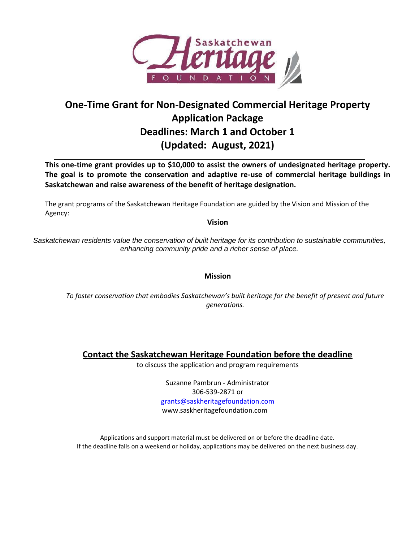

# **One-Time Grant for Non-Designated Commercial Heritage Property Application Package Deadlines: March 1 and October 1 (Updated: August, 2021)**

**This one-time grant provides up to \$10,000 to assist the owners of undesignated heritage property. The goal is to promote the conservation and adaptive re-use of commercial heritage buildings in Saskatchewan and raise awareness of the benefit of heritage designation.**

The grant programs of the Saskatchewan Heritage Foundation are guided by the Vision and Mission of the Agency:

**Vision**

*Saskatchewan residents value the conservation of built heritage for its contribution to sustainable communities, enhancing community pride and a richer sense of place.*

**Mission**

*To foster conservation that embodies Saskatchewan's built heritage for the benefit of present and future generations.*

**Contact the Saskatchewan Heritage Foundation before the deadline**

to discuss the application and program requirements

Suzanne Pambrun - Administrator 306-539-2871 or [grants@saskheritagefoundation.com](mailto:grants@saskheritagefoundation.com) www.saskheritagefoundation.com

Applications and support material must be delivered on or before the deadline date. If the deadline falls on a weekend or holiday, applications may be delivered on the next business day.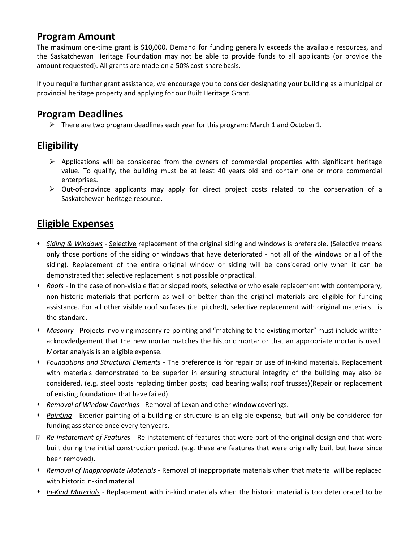# **Program Amount**

The maximum one-time grant is \$10,000. Demand for funding generally exceeds the available resources, and the Saskatchewan Heritage Foundation may not be able to provide funds to all applicants (or provide the amount requested). All grants are made on a 50% cost-share basis.

If you require further grant assistance, we encourage you to consider designating your building as a municipal or provincial heritage property and applying for our Built Heritage Grant.

# **Program Deadlines**

 $\triangleright$  There are two program deadlines each year for this program: March 1 and October 1.

# **Eligibility**

- $\triangleright$  Applications will be considered from the owners of commercial properties with significant heritage value. To qualify, the building must be at least 40 years old and contain one or more commercial enterprises.
- $\triangleright$  Out-of-province applicants may apply for direct project costs related to the conservation of a Saskatchewan heritage resource.

# **Eligible Expenses**

- ⬧ *Siding & Windows -* Selective replacement of the original siding and windows is preferable. (Selective means only those portions of the siding or windows that have deteriorated - not all of the windows or all of the siding). Replacement of the entire original window or siding will be considered only when it can be demonstrated that selective replacement is not possible or practical.
- ⬧ *Roofs -* In the case of non-visible flat or sloped roofs, selective or wholesale replacement with contemporary, non-historic materials that perform as well or better than the original materials are eligible for funding assistance. For all other visible roof surfaces (i.e. pitched), selective replacement with original materials. is the standard.
- ⬧ *Masonry* Projects involving masonry re-pointing and "matching to the existing mortar" must include written acknowledgement that the new mortar matches the historic mortar or that an appropriate mortar is used. Mortar analysis is an eligible expense.
- ⬧ *Foundations and Structural Elements* The preference is for repair or use of in-kind materials. Replacement with materials demonstrated to be superior in ensuring structural integrity of the building may also be considered. (e.g. steel posts replacing timber posts; load bearing walls; roof trusses)(Repair or replacement of existing foundations that have failed).
- ⬧ *Removal of Window Coverings* Removal of Lexan and other windowcoverings.
- ⬧ *Painting* Exterior painting of a building or structure is an eligible expense, but will only be considered for funding assistance once every ten years.
- *Re-instatement of Features* Re-instatement of features that were part of the original design and that were built during the initial construction period. (e.g. these are features that were originally built but have since been removed).
- ⬧ *Removal of Inappropriate Materials* Removal of inappropriate materials when that material will be replaced with historic in-kind material.
- ⬧ *In-Kind Materials -* Replacement with in-kind materials when the historic material is too deteriorated to be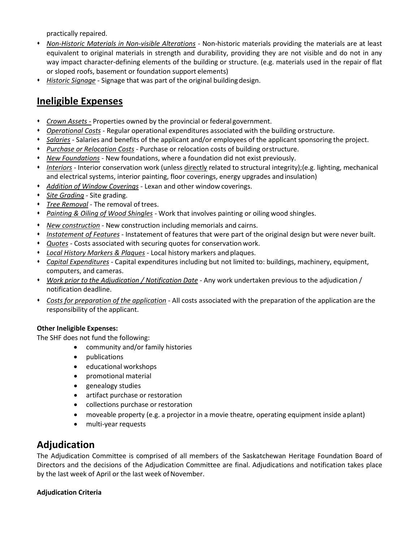practically repaired.

- ⬧ *Non-Historic Materials in Non-visible Alterations -* Non-historic materials providing the materials are at least equivalent to original materials in strength and durability, providing they are not visible and do not in any way impact character-defining elements of the building or structure. (e.g. materials used in the repair of flat or sloped roofs, basement or foundation support elements)
- ⬧ *Historic Signage* Signage that was part of the original building design.

# **Ineligible Expenses**

- ⬧ *Crown Assets -* Properties owned by the provincial or federal government.
- ⬧ *Operational Costs* Regular operational expenditures associated with the building orstructure.
- ⬧ *Salaries -* Salaries and benefits of the applicant and/or employees of the applicant sponsoring the project.
- ⬧ *Purchase or Relocation Costs* Purchase or relocation costs of building orstructure.
- ⬧ *New Foundations -* New foundations, where a foundation did not exist previously.
- ⬧ *Interiors -* Interior conservation work (unless directly related to structural integrity);(e.g. lighting, mechanical and electrical systems, interior painting, floor coverings, energy upgrades and insulation)
- ⬧ *Addition of Window Coverings -* Lexan and other window coverings.
- ⬧ *Site Grading* Site grading.
- ⬧ *Tree Removal* The removal of trees.
- ⬧ *Painting & Oiling of Wood Shingles -* Work that involves painting or oiling wood shingles.
- ⬧ *New construction* New construction including memorials and cairns.
- ⬧ *Instatement of Features* Instatement of features that were part of the original design but were never built.
- ⬧ *Quotes* Costs associated with securing quotes for conservationwork.
- ⬧ *Local History Markers & Plaques* Local history markers andplaques.
- ⬧ *Capital Expenditures* Capital expenditures including but not limited to: buildings, machinery, equipment, computers, and cameras.
- ⬧ *Work prior to the Adjudication / Notification Date -* Any work undertaken previous to the adjudication / notification deadline.
- ⬧ *Costs for preparation of the application* All costs associated with the preparation of the application are the responsibility of the applicant.

### **Other Ineligible Expenses:**

The SHF does not fund the following:

- community and/or family histories
	- publications
	- educational workshops
	- promotional material
	- genealogy studies
	- artifact purchase or restoration
	- collections purchase or restoration
	- moveable property (e.g. a projector in a movie theatre, operating equipment inside aplant)
	- multi-year requests

## **Adjudication**

The Adjudication Committee is comprised of all members of the Saskatchewan Heritage Foundation Board of Directors and the decisions of the Adjudication Committee are final. Adjudications and notification takes place by the last week of April or the last week of November.

## **Adjudication Criteria**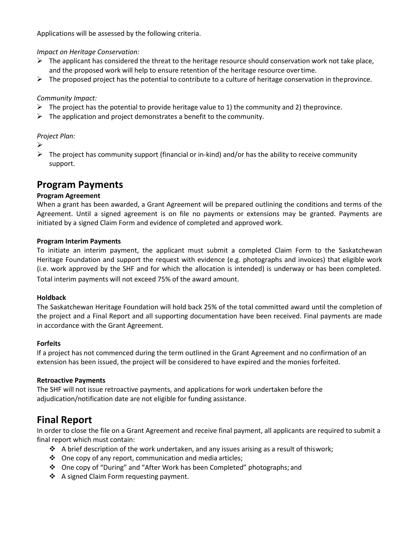Applications will be assessed by the following criteria.

*Impact on Heritage Conservation:*

- $\triangleright$  The applicant has considered the threat to the heritage resource should conservation work not take place, and the proposed work will help to ensure retention of the heritage resource overtime.
- $\triangleright$  The proposed project has the potential to contribute to a culture of heritage conservation in the province.

## *Community Impact:*

- $\triangleright$  The project has the potential to provide heritage value to 1) the community and 2) the province.
- $\triangleright$  The application and project demonstrates a benefit to the community.

### *Project Plan:*

- ➢
- $\triangleright$  The project has community support (financial or in-kind) and/or has the ability to receive community support.

## **Program Payments**

### **Program Agreement**

When a grant has been awarded, a Grant Agreement will be prepared outlining the conditions and terms of the Agreement. Until a signed agreement is on file no payments or extensions may be granted. Payments are initiated by a signed Claim Form and evidence of completed and approved work.

### **Program Interim Payments**

To initiate an interim payment, the applicant must submit a completed Claim Form to the Saskatchewan Heritage Foundation and support the request with evidence (e.g. photographs and invoices) that eligible work (i.e. work approved by the SHF and for which the allocation is intended) is underway or has been completed. Total interim payments will not exceed 75% of the award amount.

### **Holdback**

The Saskatchewan Heritage Foundation will hold back 25% of the total committed award until the completion of the project and a Final Report and all supporting documentation have been received. Final payments are made in accordance with the Grant Agreement.

## **Forfeits**

If a project has not commenced during the term outlined in the Grant Agreement and no confirmation of an extension has been issued, the project will be considered to have expired and the monies forfeited.

### **Retroactive Payments**

The SHF will not issue retroactive payments, and applications for work undertaken before the adjudication/notification date are not eligible for funding assistance.

## **Final Report**

In order to close the file on a Grant Agreement and receive final payment, all applicants are required to submit a final report which must contain:

- $\cdot \cdot$  A brief description of the work undertaken, and any issues arising as a result of thiswork;
- ❖ One copy of any report, communication and media articles;
- ❖ One copy of "During" and "After Work has been Completed" photographs; and
- ❖ A signed Claim Form requesting payment.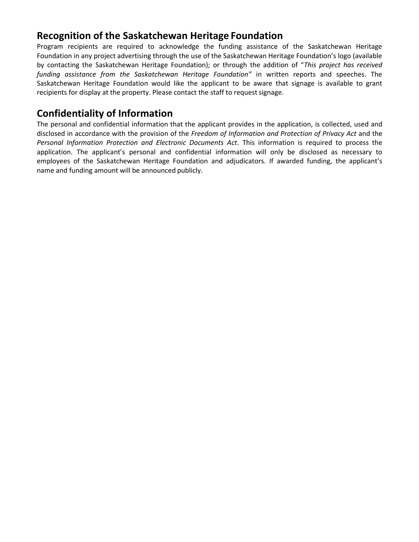# **Recognition of the Saskatchewan Heritage Foundation**

Program recipients are required to acknowledge the funding assistance of the Saskatchewan Heritage Foundation in any project advertising through the use of the Saskatchewan Heritage Foundation's logo (available by contacting the Saskatchewan Heritage Foundation); or through the addition of "*This project has received funding assistance from the Saskatchewan Heritage Foundation"* in written reports and speeches. The Saskatchewan Heritage Foundation would like the applicant to be aware that signage is available to grant recipients for display at the property. Please contact the staff to request signage.

# **Confidentiality of Information**

The personal and confidential information that the applicant provides in the application, is collected, used and disclosed in accordance with the provision of the *Freedom of Information and Protection of Privacy Act* and the *Personal Information Protection and Electronic Documents Act*. This information is required to process the application. The applicant's personal and confidential information will only be disclosed as necessary to employees of the Saskatchewan Heritage Foundation and adjudicators. If awarded funding, the applicant's name and funding amount will be announced publicly.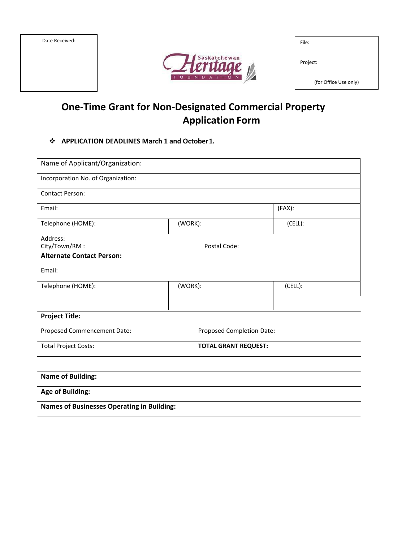| Date Received: |  |
|----------------|--|
|                |  |
|                |  |
|                |  |
|                |  |



| File: |  |  |
|-------|--|--|
|       |  |  |
|       |  |  |

Project:

(for Office Use only)

# **One-Time Grant for Non-Designated Commercial Property Application Form**

## ❖ **APPLICATION DEADLINES March 1 and October1.**

| Name of Applicant/Organization:    |                             |         |  |  |
|------------------------------------|-----------------------------|---------|--|--|
| Incorporation No. of Organization: |                             |         |  |  |
| <b>Contact Person:</b>             |                             |         |  |  |
| Email:                             |                             | (FAX):  |  |  |
| Telephone (HOME):                  | (WORK):                     | (CELL): |  |  |
| Address:                           |                             |         |  |  |
| City/Town/RM:                      | Postal Code:                |         |  |  |
| <b>Alternate Contact Person:</b>   |                             |         |  |  |
| Email:                             |                             |         |  |  |
| Telephone (HOME):                  | (WORK):                     | (CELL): |  |  |
|                                    |                             |         |  |  |
| <b>Project Title:</b>              |                             |         |  |  |
| Proposed Commencement Date:        | Proposed Completion Date:   |         |  |  |
| <b>Total Project Costs:</b>        | <b>TOTAL GRANT REQUEST:</b> |         |  |  |

| <b>Name of Building:</b>                          |
|---------------------------------------------------|
| <b>Age of Building:</b>                           |
| <b>Names of Businesses Operating in Building:</b> |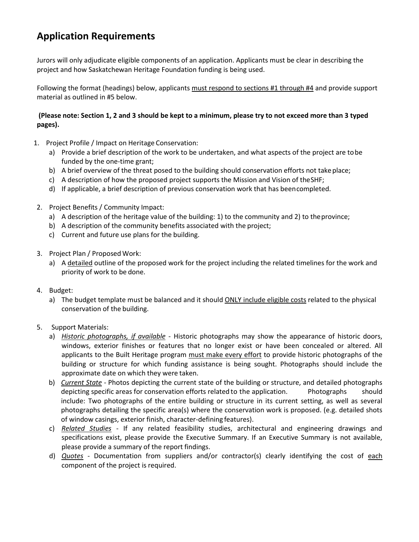# **Application Requirements**

Jurors will only adjudicate eligible components of an application. Applicants must be clear in describing the project and how Saskatchewan Heritage Foundation funding is being used.

Following the format (headings) below, applicants must respond to sections #1 through #4 and provide support material as outlined in #5 below.

## **(Please note: Section 1, 2 and 3 should be kept to a minimum, please try to not exceed more than 3 typed pages).**

- 1. Project Profile / Impact on Heritage Conservation:
	- a) Provide a brief description of the work to be undertaken, and what aspects of the project are tobe funded by the one-time grant;
	- b) A brief overview of the threat posed to the building should conservation efforts not take place;
	- c) A description of how the proposed project supports the Mission and Vision of theSHF;
	- d) If applicable, a brief description of previous conservation work that has beencompleted.
- 2. Project Benefits / Community Impact:
	- a) A description of the heritage value of the building: 1) to the community and 2) to theprovince;
	- b) A description of the community benefits associated with the project;
	- c) Current and future use plans for the building.
- 3. Project Plan / Proposed Work:
	- a) A detailed outline of the proposed work for the project including the related timelines for the work and priority of work to be done.
- 4. Budget:
	- a) The budget template must be balanced and it should ONLY include eligible costs related to the physical conservation of the building.
- 5. Support Materials:
	- a) *Historic photographs, if available* Historic photographs may show the appearance of historic doors, windows, exterior finishes or features that no longer exist or have been concealed or altered. All applicants to the Built Heritage program must make every effort to provide historic photographs of the building or structure for which funding assistance is being sought. Photographs should include the approximate date on which they were taken.
	- b) *Current State* Photos depicting the current state of the building or structure, and detailed photographs depicting specific areas for conservation efforts related to the application. Photographs should include: Two photographs of the entire building or structure in its current setting, as well as several photographs detailing the specific area(s) where the conservation work is proposed. (e.g. detailed shots of window casings, exterior finish, character-defining features).
	- c) *Related Studies* If any related feasibility studies, architectural and engineering drawings and specifications exist, please provide the Executive Summary. If an Executive Summary is not available, please provide a summary of the report findings.
	- d) *Quotes* Documentation from suppliers and/or contractor(s) clearly identifying the cost of each component of the project is required.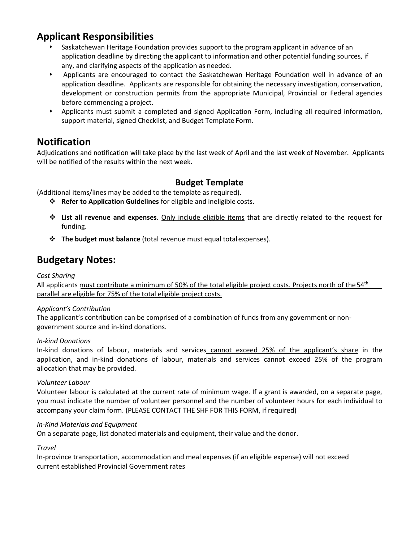# **Applicant Responsibilities**

- Saskatchewan Heritage Foundation provides support to the program applicant in advance of an application deadline by directing the applicant to information and other potential funding sources, if any, and clarifying aspects of the application as needed.
- ⬧ Applicants are encouraged to contact the Saskatchewan Heritage Foundation well in advance of an application deadline. Applicants are responsible for obtaining the necessary investigation, conservation, development or construction permits from the appropriate Municipal, Provincial or Federal agencies before commencing a project.
- ⬧ Applicants must submit a completed and signed Application Form, including all required information, support material, signed Checklist, and Budget Template Form.

# **Notification**

Adjudications and notification will take place by the last week of April and the last week of November. Applicants will be notified of the results within the next week.

## **Budget Template**

(Additional items/lines may be added to the template as required).

- ❖ **Refer to Application Guidelines** for eligible and ineligible costs.
- ❖ **List all revenue and expenses**. Only include eligible items that are directly related to the request for funding.
- ❖ **The budget must balance** (total revenue must equal totalexpenses).

# **Budgetary Notes:**

## *Cost Sharing*

All applicants must contribute a minimum of 50% of the total eligible project costs. Projects north of the 54<sup>th</sup> parallel are eligible for 75% of the total eligible project costs.

### *Applicant's Contribution*

The applicant's contribution can be comprised of a combination of funds from any government or nongovernment source and in-kind donations.

## *In-kind Donations*

In-kind donations of labour, materials and services cannot exceed 25% of the applicant's share in the application, and in-kind donations of labour, materials and services cannot exceed 25% of the program allocation that may be provided.

### *Volunteer Labour*

Volunteer labour is calculated at the current rate of minimum wage. If a grant is awarded, on a separate page, you must indicate the number of volunteer personnel and the number of volunteer hours for each individual to accompany your claim form. (PLEASE CONTACT THE SHF FOR THIS FORM, if required)

### *In-Kind Materials and Equipment*

On a separate page, list donated materials and equipment, their value and the donor.

### *Travel*

In-province transportation, accommodation and meal expenses (if an eligible expense) will not exceed current established Provincial Government rates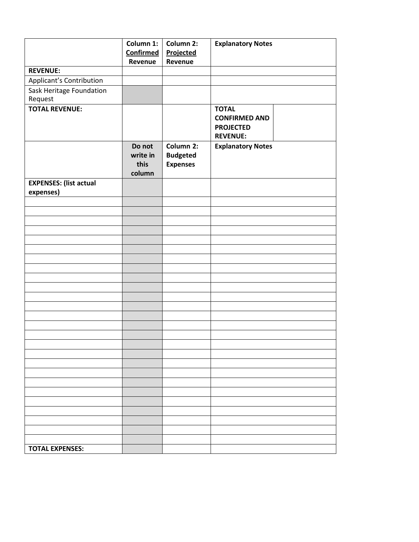|                               | Column 1:<br><b>Confirmed</b><br>Revenue | Column 2:<br>Projected<br>Revenue  | <b>Explanatory Notes</b> |
|-------------------------------|------------------------------------------|------------------------------------|--------------------------|
| <b>REVENUE:</b>               |                                          |                                    |                          |
| Applicant's Contribution      |                                          |                                    |                          |
| Sask Heritage Foundation      |                                          |                                    |                          |
| Request                       |                                          |                                    |                          |
| <b>TOTAL REVENUE:</b>         |                                          |                                    | <b>TOTAL</b>             |
|                               |                                          |                                    | <b>CONFIRMED AND</b>     |
|                               |                                          |                                    | <b>PROJECTED</b>         |
|                               |                                          |                                    | <b>REVENUE:</b>          |
|                               | Do not                                   | Column 2:                          | <b>Explanatory Notes</b> |
|                               | write in<br>this                         | <b>Budgeted</b><br><b>Expenses</b> |                          |
|                               | column                                   |                                    |                          |
| <b>EXPENSES: (list actual</b> |                                          |                                    |                          |
| expenses)                     |                                          |                                    |                          |
|                               |                                          |                                    |                          |
|                               |                                          |                                    |                          |
|                               |                                          |                                    |                          |
|                               |                                          |                                    |                          |
|                               |                                          |                                    |                          |
|                               |                                          |                                    |                          |
|                               |                                          |                                    |                          |
|                               |                                          |                                    |                          |
|                               |                                          |                                    |                          |
|                               |                                          |                                    |                          |
|                               |                                          |                                    |                          |
|                               |                                          |                                    |                          |
|                               |                                          |                                    |                          |
|                               |                                          |                                    |                          |
|                               |                                          |                                    |                          |
|                               |                                          |                                    |                          |
|                               |                                          |                                    |                          |
|                               |                                          |                                    |                          |
|                               |                                          |                                    |                          |
|                               |                                          |                                    |                          |
|                               |                                          |                                    |                          |
|                               |                                          |                                    |                          |
|                               |                                          |                                    |                          |
|                               |                                          |                                    |                          |
|                               |                                          |                                    |                          |
| <b>TOTAL EXPENSES:</b>        |                                          |                                    |                          |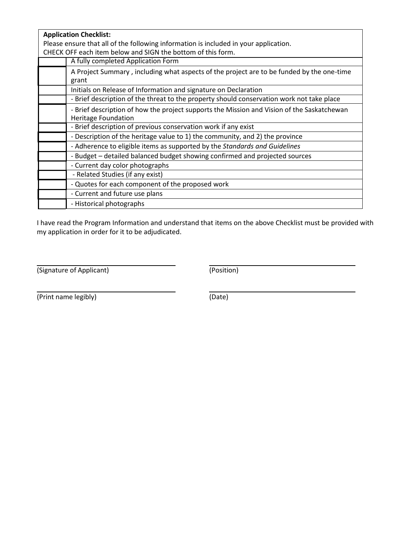| <b>Application Checklist:</b>                                                              |  |
|--------------------------------------------------------------------------------------------|--|
| Please ensure that all of the following information is included in your application.       |  |
| CHECK OFF each item below and SIGN the bottom of this form.                                |  |
| A fully completed Application Form                                                         |  |
| A Project Summary, including what aspects of the project are to be funded by the one-time  |  |
| grant                                                                                      |  |
| Initials on Release of Information and signature on Declaration                            |  |
| - Brief description of the threat to the property should conservation work not take place  |  |
| - Brief description of how the project supports the Mission and Vision of the Saskatchewan |  |
| <b>Heritage Foundation</b>                                                                 |  |
| - Brief description of previous conservation work if any exist                             |  |
| - Description of the heritage value to 1) the community, and 2) the province               |  |
| - Adherence to eligible items as supported by the Standards and Guidelines                 |  |
| - Budget - detailed balanced budget showing confirmed and projected sources                |  |
| - Current day color photographs                                                            |  |
| - Related Studies (if any exist)                                                           |  |
| - Quotes for each component of the proposed work                                           |  |
| - Current and future use plans                                                             |  |
| - Historical photographs                                                                   |  |

I have read the Program Information and understand that items on the above Checklist must be provided with my application in order for it to be adjudicated.

(Signature of Applicant) (Position)

(Print name legibly) (Date)